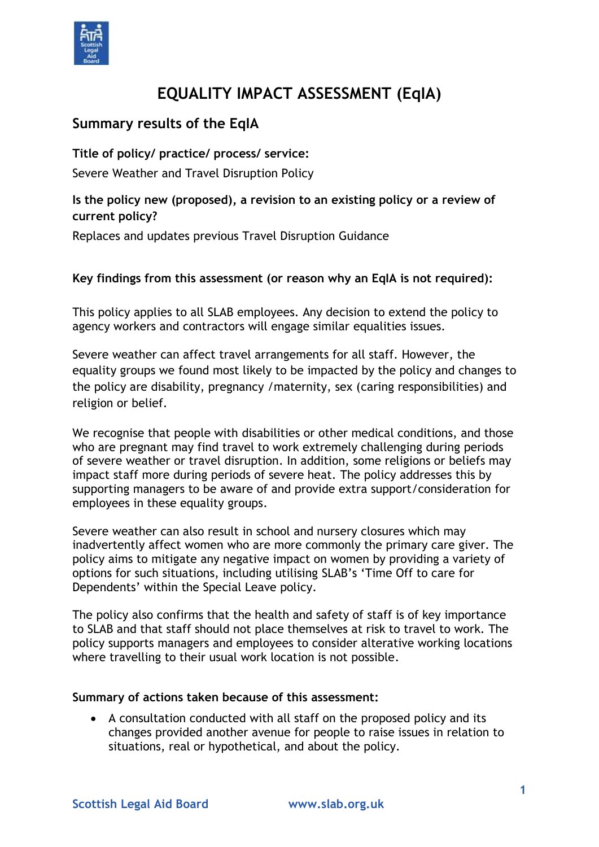

# **EQUALITY IMPACT ASSESSMENT (EqIA)**

### **Summary results of the EqIA**

**Title of policy/ practice/ process/ service:**

Severe Weather and Travel Disruption Policy

#### **Is the policy new (proposed), a revision to an existing policy or a review of current policy?**

Replaces and updates previous Travel Disruption Guidance

#### **Key findings from this assessment (or reason why an EqIA is not required):**

This policy applies to all SLAB employees. Any decision to extend the policy to agency workers and contractors will engage similar equalities issues.

Severe weather can affect travel arrangements for all staff. However, the equality groups we found most likely to be impacted by the policy and changes to the policy are disability, pregnancy /maternity, sex (caring responsibilities) and religion or belief.

We recognise that people with disabilities or other medical conditions, and those who are pregnant may find travel to work extremely challenging during periods of severe weather or travel disruption. In addition, some religions or beliefs may impact staff more during periods of severe heat. The policy addresses this by supporting managers to be aware of and provide extra support/consideration for employees in these equality groups.

Severe weather can also result in school and nursery closures which may inadvertently affect women who are more commonly the primary care giver. The policy aims to mitigate any negative impact on women by providing a variety of options for such situations, including utilising SLAB's 'Time Off to care for Dependents' within the Special Leave policy.

The policy also confirms that the health and safety of staff is of key importance to SLAB and that staff should not place themselves at risk to travel to work. The policy supports managers and employees to consider alterative working locations where travelling to their usual work location is not possible.

#### **Summary of actions taken because of this assessment:**

 A consultation conducted with all staff on the proposed policy and its changes provided another avenue for people to raise issues in relation to situations, real or hypothetical, and about the policy.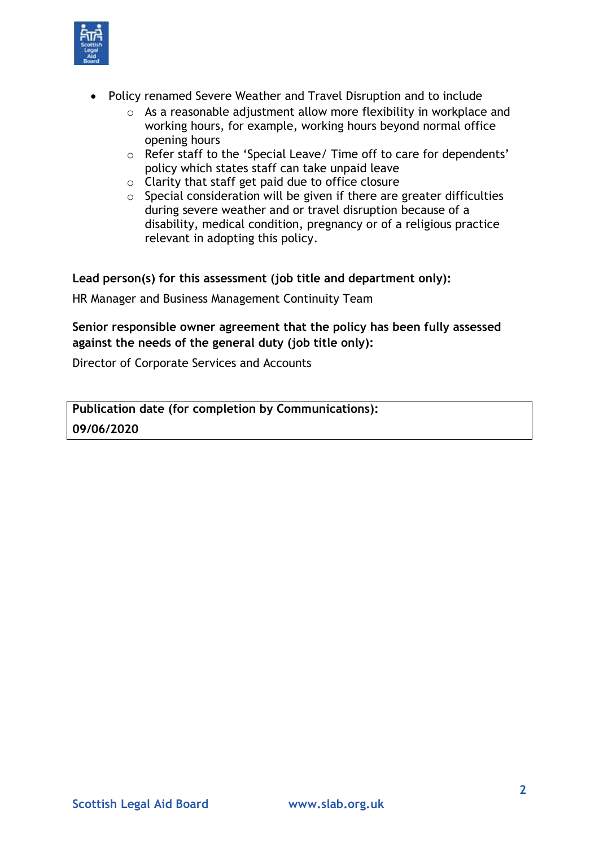

- Policy renamed Severe Weather and Travel Disruption and to include
	- o As a reasonable adjustment allow more flexibility in workplace and working hours, for example, working hours beyond normal office opening hours
	- o Refer staff to the 'Special Leave/ Time off to care for dependents' policy which states staff can take unpaid leave
	- o Clarity that staff get paid due to office closure
	- $\circ$  Special consideration will be given if there are greater difficulties during severe weather and or travel disruption because of a disability, medical condition, pregnancy or of a religious practice relevant in adopting this policy.

**Lead person(s) for this assessment (job title and department only):**

HR Manager and Business Management Continuity Team

#### **Senior responsible owner agreement that the policy has been fully assessed against the needs of the general duty (job title only):**

Director of Corporate Services and Accounts

**Publication date (for completion by Communications): 09/06/2020**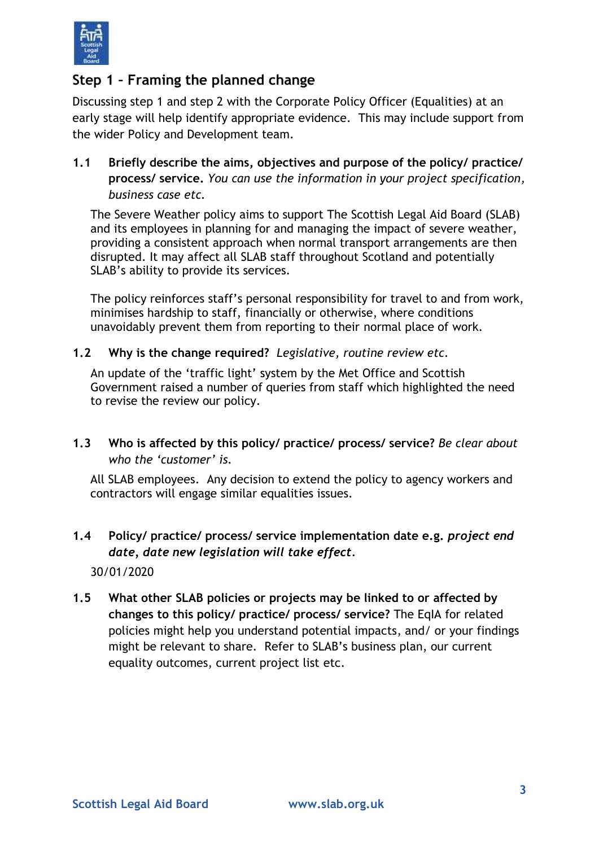

### **Step 1 – Framing the planned change**

Discussing step 1 and step 2 with the Corporate Policy Officer (Equalities) at an early stage will help identify appropriate evidence. This may include support from the wider Policy and Development team.

**1.1 Briefly describe the aims, objectives and purpose of the policy/ practice/ process/ service.** *You can use the information in your project specification, business case etc.* 

The Severe Weather policy aims to support The Scottish Legal Aid Board (SLAB) and its employees in planning for and managing the impact of severe weather, providing a consistent approach when normal transport arrangements are then disrupted. It may affect all SLAB staff throughout Scotland and potentially SLAB's ability to provide its services.

The policy reinforces staff's personal responsibility for travel to and from work, minimises hardship to staff, financially or otherwise, where conditions unavoidably prevent them from reporting to their normal place of work.

**1.2 Why is the change required?** *Legislative, routine review etc.*

An update of the 'traffic light' system by the Met Office and Scottish Government raised a number of queries from staff which highlighted the need to revise the review our policy.

**1.3 Who is affected by this policy/ practice/ process/ service?** *Be clear about who the 'customer' is.*

All SLAB employees. Any decision to extend the policy to agency workers and contractors will engage similar equalities issues.

# **1.4 Policy/ practice/ process/ service implementation date e.g.** *project end date, date new legislation will take effect.*

30/01/2020

**1.5 What other SLAB policies or projects may be linked to or affected by changes to this policy/ practice/ process/ service?** The EqIA for related policies might help you understand potential impacts, and/ or your findings might be relevant to share. Refer to SLAB's business plan, our current equality outcomes, current project list etc.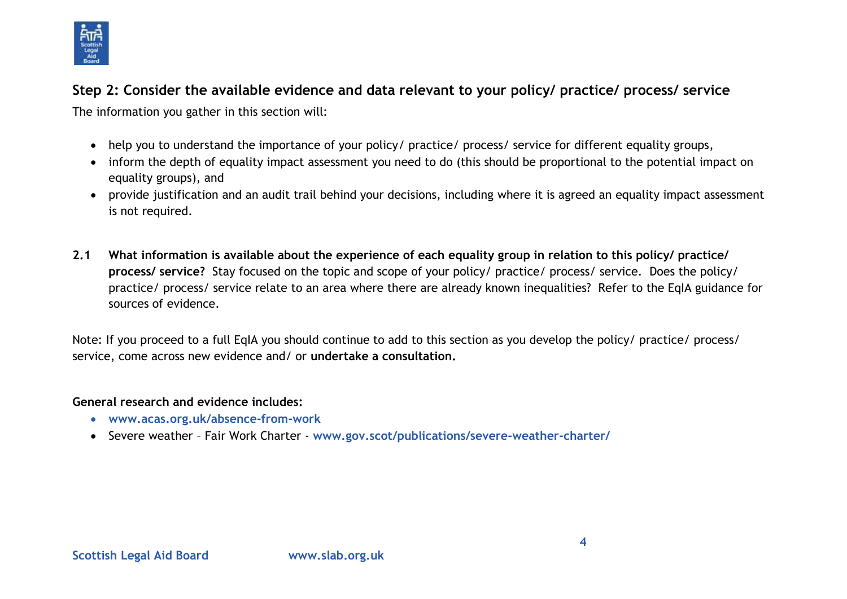

## **Step 2: Consider the available evidence and data relevant to your policy/ practice/ process/ service**

The information you gather in this section will:

- help you to understand the importance of your policy/ practice/ process/ service for different equality groups,
- inform the depth of equality impact assessment you need to do (this should be proportional to the potential impact on equality groups), and
- provide justification and an audit trail behind your decisions, including where it is agreed an equality impact assessment is not required.
- **2.1 What information is available about the experience of each equality group in relation to this policy/ practice/ process/ service?** Stay focused on the topic and scope of your policy/ practice/ process/ service. Does the policy/ practice/ process/ service relate to an area where there are already known inequalities? Refer to the EqIA guidance for sources of evidence.

Note: If you proceed to a full EqIA you should continue to add to this section as you develop the policy/ practice/ process/ service, come across new evidence and/ or **undertake a consultation.**

#### **General research and evidence includes:**

- **[www.acas.org.uk/absence-from-work](http://www.acas.org.uk/absence-from-work)**
- Severe weather Fair Work Charter **[www.gov.scot/publications/severe-weather-charter/](https://www.gov.scot/publications/severe-weather-charter/)**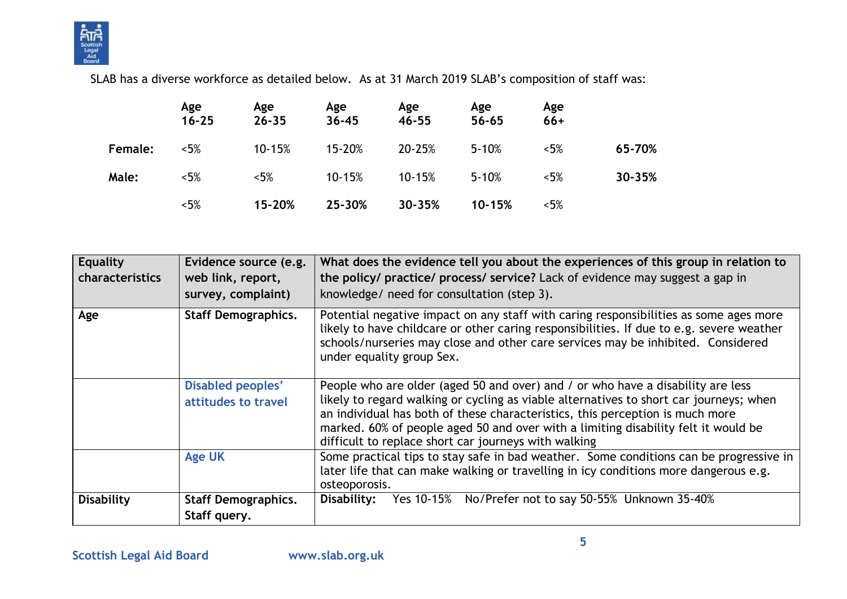

SLAB has a diverse workforce as detailed below. As at 31 March 2019 SLAB's composition of staff was:

|         | Age<br>$16 - 25$ | Age<br>$26 - 35$ | Age<br>$36 - 45$ | Age<br>46-55 | Age<br>$56 - 65$ | Age<br>$66+$ |        |
|---------|------------------|------------------|------------------|--------------|------------------|--------------|--------|
| Female: | $< 5\%$          | 10-15%           | 15-20%           | 20-25%       | $5 - 10%$        | $< 5\%$      | 65-70% |
| Male:   | $< 5\%$          | $< 5\%$          | 10-15%           | 10-15%       | $5 - 10%$        | $< 5\%$      | 30-35% |
|         | $< 5\%$          | 15-20%           | 25-30%           | 30-35%       | 10-15%           | $< 5\%$      |        |

| <b>Equality</b><br><b>characteristics</b> | Evidence source (e.g.<br>web link, report,<br>survey, complaint) | What does the evidence tell you about the experiences of this group in relation to<br>the policy/ practice/ process/ service? Lack of evidence may suggest a gap in<br>knowledge/ need for consultation (step 3).                                                                                                                                                                                        |
|-------------------------------------------|------------------------------------------------------------------|----------------------------------------------------------------------------------------------------------------------------------------------------------------------------------------------------------------------------------------------------------------------------------------------------------------------------------------------------------------------------------------------------------|
| Age                                       | <b>Staff Demographics.</b>                                       | Potential negative impact on any staff with caring responsibilities as some ages more<br>likely to have childcare or other caring responsibilities. If due to e.g. severe weather<br>schools/nurseries may close and other care services may be inhibited. Considered<br>under equality group Sex.                                                                                                       |
|                                           | <b>Disabled peoples'</b><br>attitudes to travel                  | People who are older (aged 50 and over) and / or who have a disability are less<br>likely to regard walking or cycling as viable alternatives to short car journeys; when<br>an individual has both of these characteristics, this perception is much more<br>marked. 60% of people aged 50 and over with a limiting disability felt it would be<br>difficult to replace short car journeys with walking |
|                                           | <b>Age UK</b>                                                    | Some practical tips to stay safe in bad weather. Some conditions can be progressive in<br>later life that can make walking or travelling in icy conditions more dangerous e.g.<br>osteoporosis.                                                                                                                                                                                                          |
| <b>Disability</b>                         | <b>Staff Demographics.</b><br>Staff query.                       | Disability: Yes 10-15% No/Prefer not to say 50-55% Unknown 35-40%                                                                                                                                                                                                                                                                                                                                        |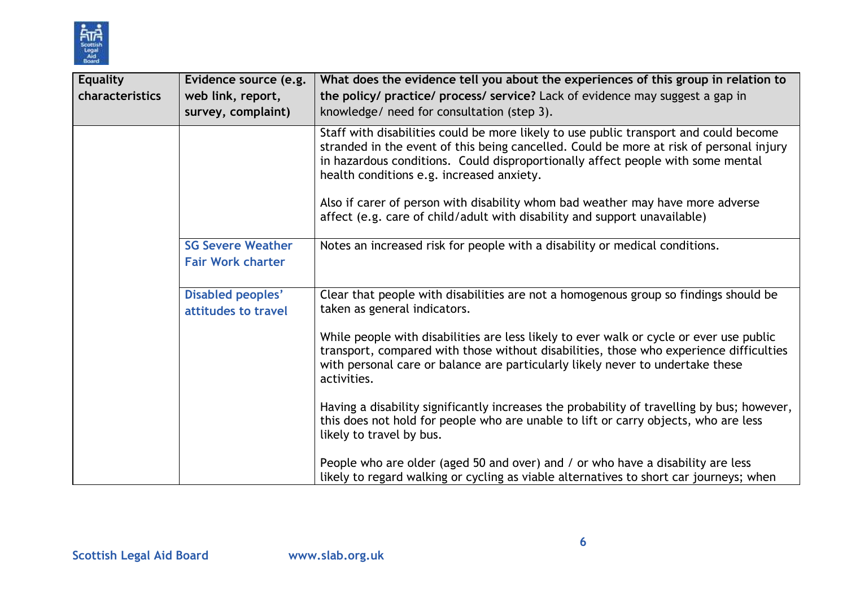

| <b>Equality</b><br>characteristics | Evidence source (e.g.<br>web link, report,<br>survey, complaint) | What does the evidence tell you about the experiences of this group in relation to<br>the policy/ practice/ process/ service? Lack of evidence may suggest a gap in<br>knowledge/ need for consultation (step 3).                                                                                                |
|------------------------------------|------------------------------------------------------------------|------------------------------------------------------------------------------------------------------------------------------------------------------------------------------------------------------------------------------------------------------------------------------------------------------------------|
|                                    |                                                                  | Staff with disabilities could be more likely to use public transport and could become<br>stranded in the event of this being cancelled. Could be more at risk of personal injury<br>in hazardous conditions. Could disproportionally affect people with some mental<br>health conditions e.g. increased anxiety. |
|                                    |                                                                  | Also if carer of person with disability whom bad weather may have more adverse<br>affect (e.g. care of child/adult with disability and support unavailable)                                                                                                                                                      |
|                                    | <b>SG Severe Weather</b><br><b>Fair Work charter</b>             | Notes an increased risk for people with a disability or medical conditions.                                                                                                                                                                                                                                      |
|                                    | Disabled peoples'<br>attitudes to travel                         | Clear that people with disabilities are not a homogenous group so findings should be<br>taken as general indicators.                                                                                                                                                                                             |
|                                    |                                                                  | While people with disabilities are less likely to ever walk or cycle or ever use public<br>transport, compared with those without disabilities, those who experience difficulties<br>with personal care or balance are particularly likely never to undertake these<br>activities.                               |
|                                    |                                                                  | Having a disability significantly increases the probability of travelling by bus; however,<br>this does not hold for people who are unable to lift or carry objects, who are less<br>likely to travel by bus.                                                                                                    |
|                                    |                                                                  | People who are older (aged 50 and over) and / or who have a disability are less<br>likely to regard walking or cycling as viable alternatives to short car journeys; when                                                                                                                                        |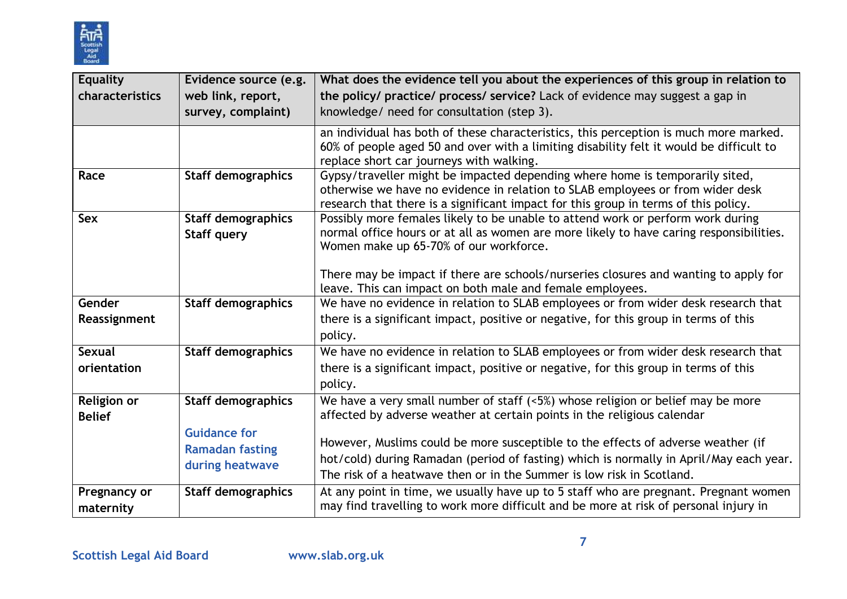

| <b>Equality</b><br>characteristics | Evidence source (e.g.<br>web link, report,<br>survey, complaint)                              | What does the evidence tell you about the experiences of this group in relation to<br>the policy/ practice/ process/ service? Lack of evidence may suggest a gap in<br>knowledge/ need for consultation (step 3).                                                                                                                                                                                                  |
|------------------------------------|-----------------------------------------------------------------------------------------------|--------------------------------------------------------------------------------------------------------------------------------------------------------------------------------------------------------------------------------------------------------------------------------------------------------------------------------------------------------------------------------------------------------------------|
|                                    |                                                                                               | an individual has both of these characteristics, this perception is much more marked.<br>60% of people aged 50 and over with a limiting disability felt it would be difficult to<br>replace short car journeys with walking.                                                                                                                                                                                       |
| Race                               | <b>Staff demographics</b>                                                                     | Gypsy/traveller might be impacted depending where home is temporarily sited,<br>otherwise we have no evidence in relation to SLAB employees or from wider desk<br>research that there is a significant impact for this group in terms of this policy.                                                                                                                                                              |
| <b>Sex</b>                         | <b>Staff demographics</b><br><b>Staff query</b>                                               | Possibly more females likely to be unable to attend work or perform work during<br>normal office hours or at all as women are more likely to have caring responsibilities.<br>Women make up 65-70% of our workforce.<br>There may be impact if there are schools/nurseries closures and wanting to apply for<br>leave. This can impact on both male and female employees.                                          |
| Gender<br>Reassignment             | <b>Staff demographics</b>                                                                     | We have no evidence in relation to SLAB employees or from wider desk research that<br>there is a significant impact, positive or negative, for this group in terms of this<br>policy.                                                                                                                                                                                                                              |
| <b>Sexual</b><br>orientation       | <b>Staff demographics</b>                                                                     | We have no evidence in relation to SLAB employees or from wider desk research that<br>there is a significant impact, positive or negative, for this group in terms of this<br>policy.                                                                                                                                                                                                                              |
| Religion or<br><b>Belief</b>       | <b>Staff demographics</b><br><b>Guidance for</b><br><b>Ramadan fasting</b><br>during heatwave | We have a very small number of staff $(5%)$ whose religion or belief may be more<br>affected by adverse weather at certain points in the religious calendar<br>However, Muslims could be more susceptible to the effects of adverse weather (if<br>hot/cold) during Ramadan (period of fasting) which is normally in April/May each year.<br>The risk of a heatwave then or in the Summer is low risk in Scotland. |
| Pregnancy or<br>maternity          | <b>Staff demographics</b>                                                                     | At any point in time, we usually have up to 5 staff who are pregnant. Pregnant women<br>may find travelling to work more difficult and be more at risk of personal injury in                                                                                                                                                                                                                                       |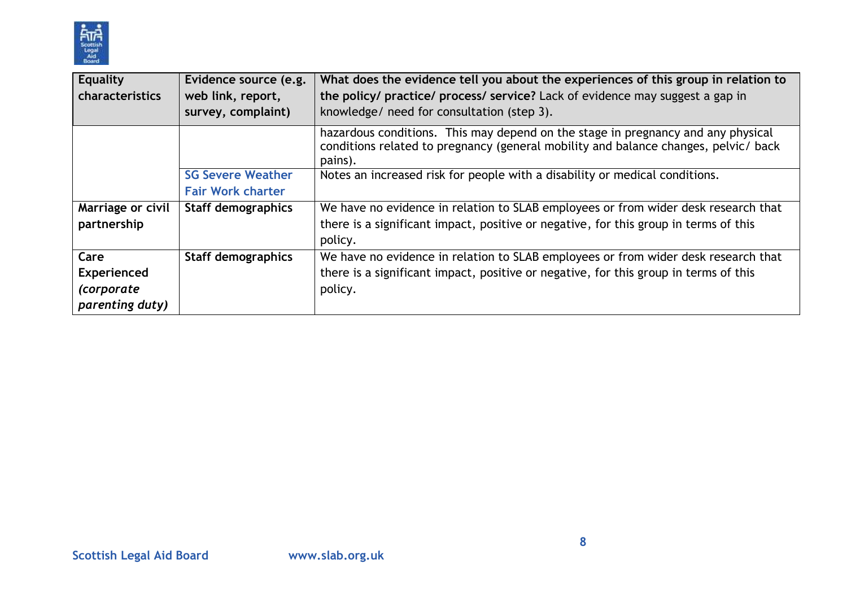

| <b>Equality</b><br>characteristics                          | Evidence source (e.g.<br>web link, report,<br>survey, complaint) | What does the evidence tell you about the experiences of this group in relation to<br>the policy/ practice/ process/ service? Lack of evidence may suggest a gap in<br>knowledge/ need for consultation (step 3). |
|-------------------------------------------------------------|------------------------------------------------------------------|-------------------------------------------------------------------------------------------------------------------------------------------------------------------------------------------------------------------|
|                                                             |                                                                  | hazardous conditions. This may depend on the stage in pregnancy and any physical<br>conditions related to pregnancy (general mobility and balance changes, pelvic/ back<br>pains).                                |
|                                                             | <b>SG Severe Weather</b><br><b>Fair Work charter</b>             | Notes an increased risk for people with a disability or medical conditions.                                                                                                                                       |
| Marriage or civil<br>partnership                            | <b>Staff demographics</b>                                        | We have no evidence in relation to SLAB employees or from wider desk research that<br>there is a significant impact, positive or negative, for this group in terms of this<br>policy.                             |
| Care<br>Experienced<br><i>(corporate</i><br>parenting duty) | <b>Staff demographics</b>                                        | We have no evidence in relation to SLAB employees or from wider desk research that<br>there is a significant impact, positive or negative, for this group in terms of this<br>policy.                             |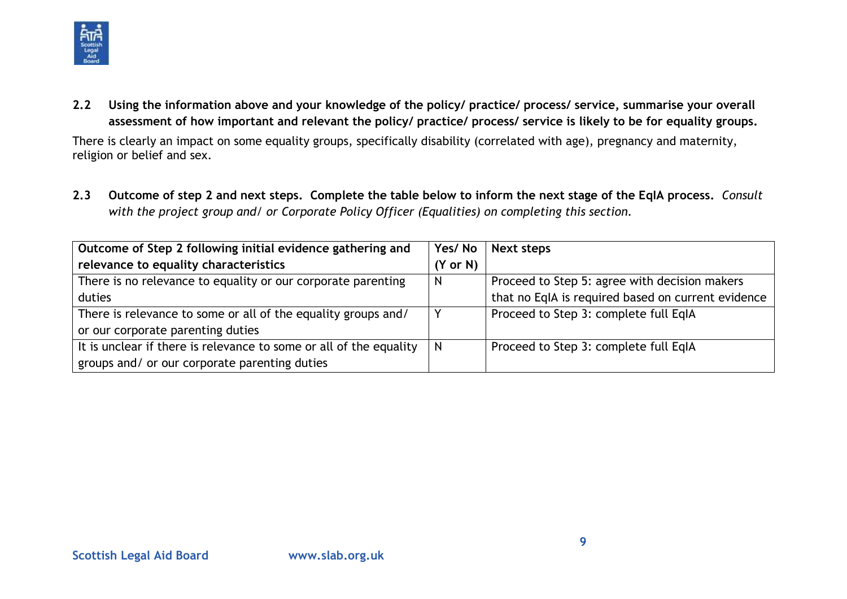

**2.2 Using the information above and your knowledge of the policy/ practice/ process/ service, summarise your overall assessment of how important and relevant the policy/ practice/ process/ service is likely to be for equality groups.**

There is clearly an impact on some equality groups, specifically disability (correlated with age), pregnancy and maternity, religion or belief and sex.

**2.3 Outcome of step 2 and next steps. Complete the table below to inform the next stage of the EqIA process.** *Consult with the project group and/ or Corporate Policy Officer (Equalities) on completing this section.*

| Outcome of Step 2 following initial evidence gathering and         | Yes/No              | <b>Next steps</b>                                  |
|--------------------------------------------------------------------|---------------------|----------------------------------------------------|
| relevance to equality characteristics                              | $(Y \text{ or } N)$ |                                                    |
| There is no relevance to equality or our corporate parenting       | N                   | Proceed to Step 5: agree with decision makers      |
| duties                                                             |                     | that no EqIA is required based on current evidence |
| There is relevance to some or all of the equality groups and/      |                     | Proceed to Step 3: complete full EqIA              |
| or our corporate parenting duties                                  |                     |                                                    |
| It is unclear if there is relevance to some or all of the equality |                     | Proceed to Step 3: complete full EqIA              |
| groups and/ or our corporate parenting duties                      |                     |                                                    |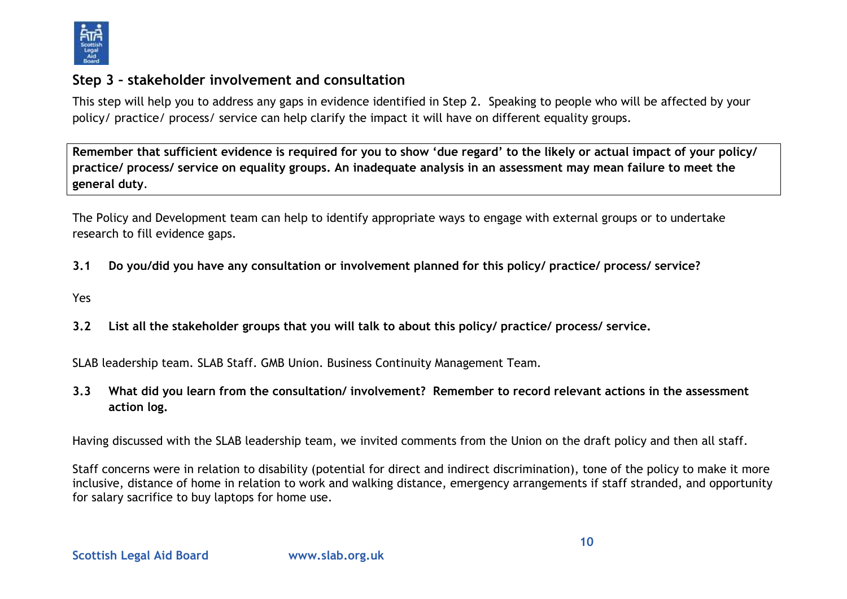

### **Step 3 – stakeholder involvement and consultation**

This step will help you to address any gaps in evidence identified in Step 2. Speaking to people who will be affected by your policy/ practice/ process/ service can help clarify the impact it will have on different equality groups.

**Remember that sufficient evidence is required for you to show 'due regard' to the likely or actual impact of your policy/ practice/ process/ service on equality groups. An inadequate analysis in an assessment may mean failure to meet the general duty**.

The Policy and Development team can help to identify appropriate ways to engage with external groups or to undertake research to fill evidence gaps.

- **3.1 Do you/did you have any consultation or involvement planned for this policy/ practice/ process/ service?**
- Yes
- **3.2 List all the stakeholder groups that you will talk to about this policy/ practice/ process/ service.**

SLAB leadership team. SLAB Staff. GMB Union. Business Continuity Management Team.

**3.3 What did you learn from the consultation/ involvement? Remember to record relevant actions in the assessment action log.**

Having discussed with the SLAB leadership team, we invited comments from the Union on the draft policy and then all staff.

Staff concerns were in relation to disability (potential for direct and indirect discrimination), tone of the policy to make it more inclusive, distance of home in relation to work and walking distance, emergency arrangements if staff stranded, and opportunity for salary sacrifice to buy laptops for home use.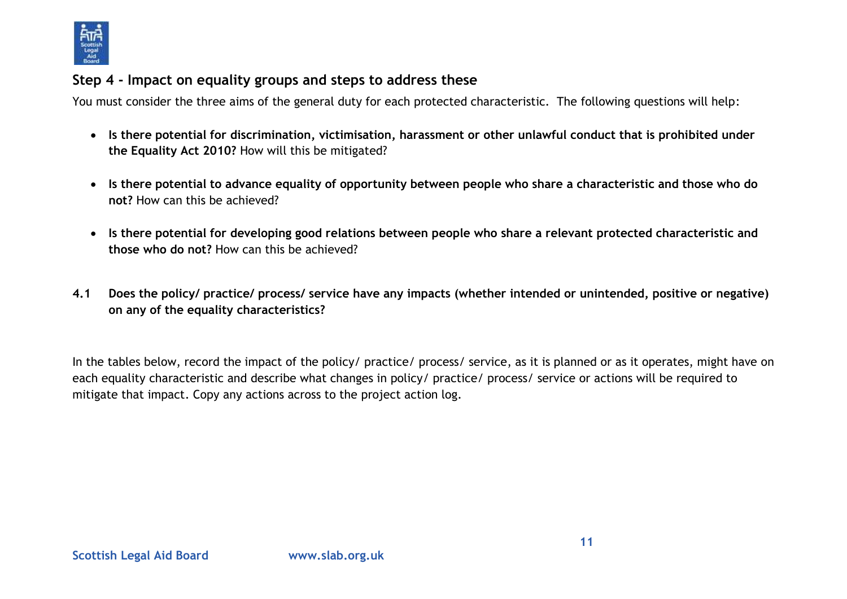

### **Step 4 - Impact on equality groups and steps to address these**

You must consider the three aims of the general duty for each protected characteristic. The following questions will help:

- **Is there potential for discrimination, victimisation, harassment or other unlawful conduct that is prohibited under the Equality Act 2010?** How will this be mitigated?
- **Is there potential to advance equality of opportunity between people who share a characteristic and those who do not?** How can this be achieved?
- **Is there potential for developing good relations between people who share a relevant protected characteristic and those who do not?** How can this be achieved?
- **4.1 Does the policy/ practice/ process/ service have any impacts (whether intended or unintended, positive or negative) on any of the equality characteristics?**

In the tables below, record the impact of the policy/ practice/ process/ service, as it is planned or as it operates, might have on each equality characteristic and describe what changes in policy/ practice/ process/ service or actions will be required to mitigate that impact. Copy any actions across to the project action log.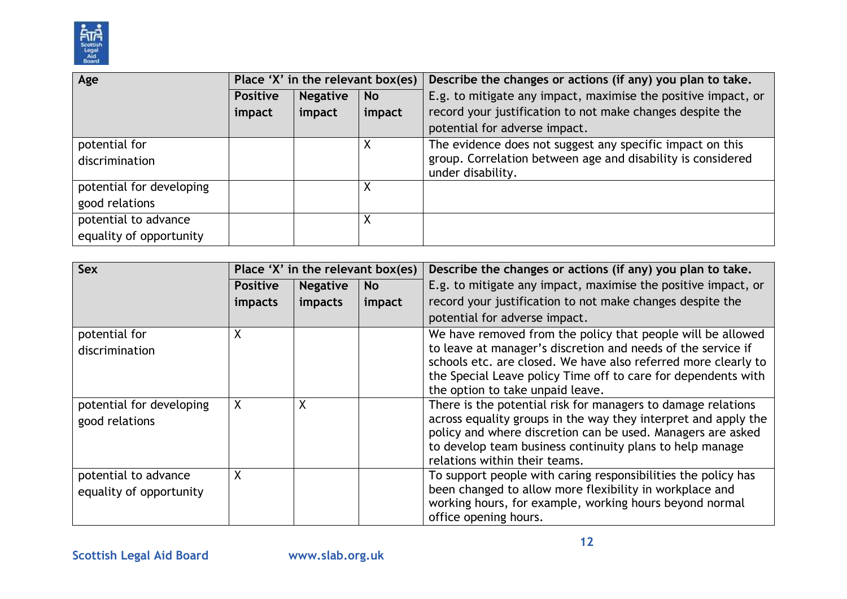

| Age                      | Place 'X' in the relevant box(es) |                 |           | Describe the changes or actions (if any) you plan to take.                       |
|--------------------------|-----------------------------------|-----------------|-----------|----------------------------------------------------------------------------------|
|                          | <b>Positive</b>                   | <b>Negative</b> | <b>No</b> | E.g. to mitigate any impact, maximise the positive impact, or                    |
|                          | impact                            | impact          | impact    | record your justification to not make changes despite the                        |
|                          |                                   |                 |           | potential for adverse impact.                                                    |
| potential for            |                                   |                 | X         | The evidence does not suggest any specific impact on this                        |
| discrimination           |                                   |                 |           | group. Correlation between age and disability is considered<br>under disability. |
| potential for developing |                                   |                 | Χ         |                                                                                  |
| good relations           |                                   |                 |           |                                                                                  |
| potential to advance     |                                   |                 | X         |                                                                                  |
| equality of opportunity  |                                   |                 |           |                                                                                  |

| <b>Sex</b>                                      | Place 'X' in the relevant box(es) |                 |           | Describe the changes or actions (if any) you plan to take.                                                                                                                                                                                                                                         |
|-------------------------------------------------|-----------------------------------|-----------------|-----------|----------------------------------------------------------------------------------------------------------------------------------------------------------------------------------------------------------------------------------------------------------------------------------------------------|
|                                                 | <b>Positive</b>                   | <b>Negative</b> | <b>No</b> | E.g. to mitigate any impact, maximise the positive impact, or                                                                                                                                                                                                                                      |
|                                                 | <i>impacts</i>                    | impacts         | impact    | record your justification to not make changes despite the                                                                                                                                                                                                                                          |
|                                                 |                                   |                 |           | potential for adverse impact.                                                                                                                                                                                                                                                                      |
| potential for<br>discrimination                 | Χ                                 |                 |           | We have removed from the policy that people will be allowed<br>to leave at manager's discretion and needs of the service if<br>schools etc. are closed. We have also referred more clearly to<br>the Special Leave policy Time off to care for dependents with<br>the option to take unpaid leave. |
| potential for developing<br>good relations      | χ                                 | X               |           | There is the potential risk for managers to damage relations<br>across equality groups in the way they interpret and apply the<br>policy and where discretion can be used. Managers are asked<br>to develop team business continuity plans to help manage<br>relations within their teams.         |
| potential to advance<br>equality of opportunity | X                                 |                 |           | To support people with caring responsibilities the policy has<br>been changed to allow more flexibility in workplace and<br>working hours, for example, working hours beyond normal<br>office opening hours.                                                                                       |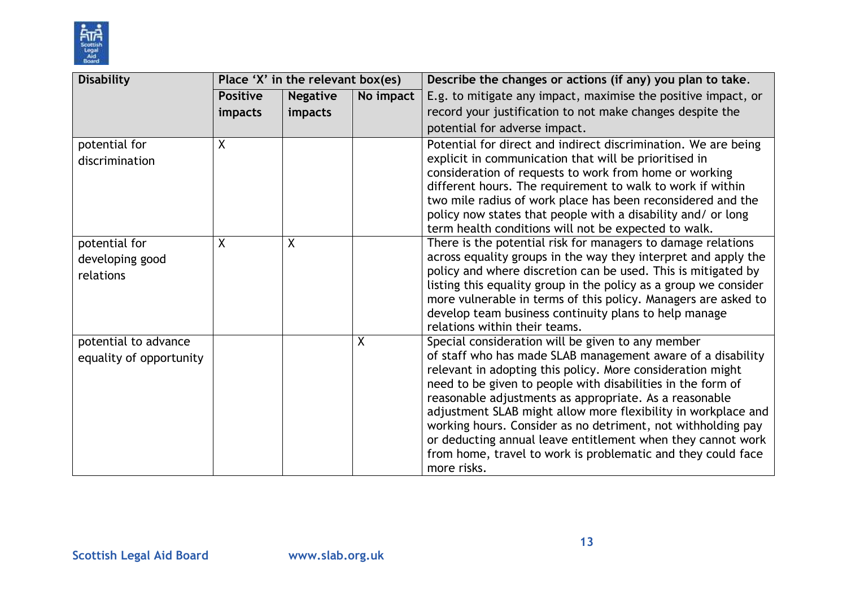

| <b>Disability</b>       | Place 'X' in the relevant box(es) |                 |           | Describe the changes or actions (if any) you plan to take.                                                                |
|-------------------------|-----------------------------------|-----------------|-----------|---------------------------------------------------------------------------------------------------------------------------|
|                         | <b>Positive</b>                   | <b>Negative</b> | No impact | E.g. to mitigate any impact, maximise the positive impact, or                                                             |
|                         | impacts                           | impacts         |           | record your justification to not make changes despite the                                                                 |
|                         |                                   |                 |           | potential for adverse impact.                                                                                             |
| potential for           | X.                                |                 |           | Potential for direct and indirect discrimination. We are being                                                            |
| discrimination          |                                   |                 |           | explicit in communication that will be prioritised in                                                                     |
|                         |                                   |                 |           | consideration of requests to work from home or working                                                                    |
|                         |                                   |                 |           | different hours. The requirement to walk to work if within<br>two mile radius of work place has been reconsidered and the |
|                         |                                   |                 |           | policy now states that people with a disability and/ or long                                                              |
|                         |                                   |                 |           | term health conditions will not be expected to walk.                                                                      |
| potential for           | X.                                | X               |           | There is the potential risk for managers to damage relations                                                              |
| developing good         |                                   |                 |           | across equality groups in the way they interpret and apply the                                                            |
| relations               |                                   |                 |           | policy and where discretion can be used. This is mitigated by                                                             |
|                         |                                   |                 |           | listing this equality group in the policy as a group we consider                                                          |
|                         |                                   |                 |           | more vulnerable in terms of this policy. Managers are asked to                                                            |
|                         |                                   |                 |           | develop team business continuity plans to help manage                                                                     |
|                         |                                   |                 | $\sf X$   | relations within their teams.<br>Special consideration will be given to any member                                        |
| potential to advance    |                                   |                 |           | of staff who has made SLAB management aware of a disability                                                               |
| equality of opportunity |                                   |                 |           | relevant in adopting this policy. More consideration might                                                                |
|                         |                                   |                 |           | need to be given to people with disabilities in the form of                                                               |
|                         |                                   |                 |           | reasonable adjustments as appropriate. As a reasonable                                                                    |
|                         |                                   |                 |           | adjustment SLAB might allow more flexibility in workplace and                                                             |
|                         |                                   |                 |           | working hours. Consider as no detriment, not withholding pay                                                              |
|                         |                                   |                 |           | or deducting annual leave entitlement when they cannot work                                                               |
|                         |                                   |                 |           | from home, travel to work is problematic and they could face                                                              |
|                         |                                   |                 |           | more risks.                                                                                                               |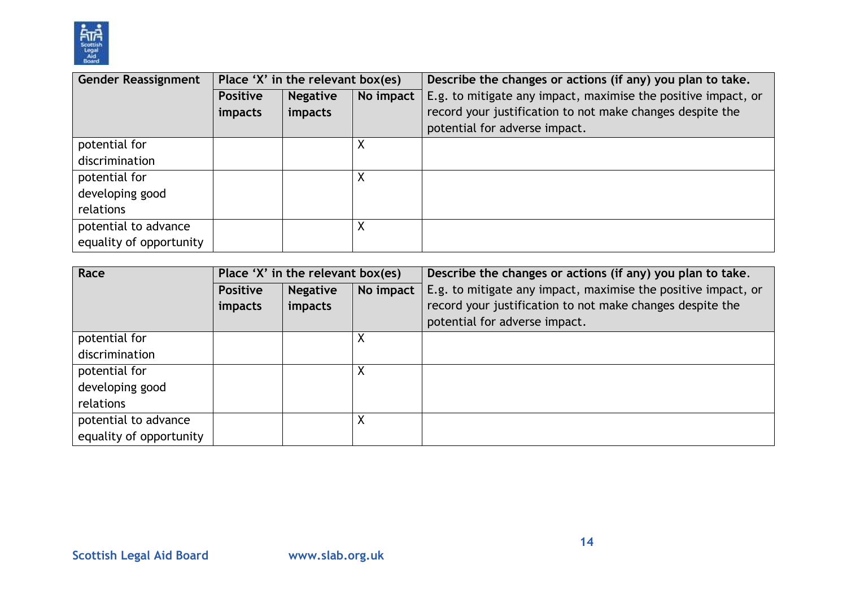

| <b>Gender Reassignment</b> | Place 'X' in the relevant box(es) |                 |           | Describe the changes or actions (if any) you plan to take.    |
|----------------------------|-----------------------------------|-----------------|-----------|---------------------------------------------------------------|
|                            | <b>Positive</b>                   | <b>Negative</b> | No impact | E.g. to mitigate any impact, maximise the positive impact, or |
|                            | <i>impacts</i>                    | impacts         |           | record your justification to not make changes despite the     |
|                            |                                   |                 |           | potential for adverse impact.                                 |
| potential for              |                                   |                 |           |                                                               |
| discrimination             |                                   |                 |           |                                                               |
| potential for              |                                   |                 |           |                                                               |
| developing good            |                                   |                 |           |                                                               |
| relations                  |                                   |                 |           |                                                               |
| potential to advance       |                                   |                 | ν         |                                                               |
| equality of opportunity    |                                   |                 |           |                                                               |

| Race                    | Place 'X' in the relevant box(es) |                 |           | Describe the changes or actions (if any) you plan to take.    |
|-------------------------|-----------------------------------|-----------------|-----------|---------------------------------------------------------------|
|                         | <b>Positive</b>                   | <b>Negative</b> | No impact | E.g. to mitigate any impact, maximise the positive impact, or |
|                         | impacts                           | impacts         |           | record your justification to not make changes despite the     |
|                         |                                   |                 |           | potential for adverse impact.                                 |
| potential for           |                                   |                 | Χ         |                                                               |
| discrimination          |                                   |                 |           |                                                               |
| potential for           |                                   |                 | Χ         |                                                               |
| developing good         |                                   |                 |           |                                                               |
| relations               |                                   |                 |           |                                                               |
| potential to advance    |                                   |                 | Χ         |                                                               |
| equality of opportunity |                                   |                 |           |                                                               |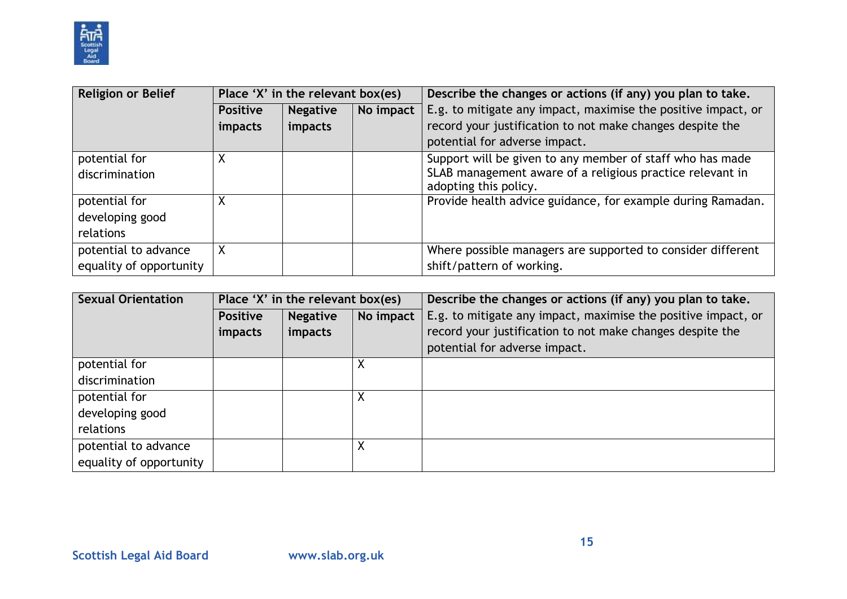

| <b>Religion or Belief</b> | Place 'X' in the relevant box(es) |                 |           | Describe the changes or actions (if any) you plan to take.                         |
|---------------------------|-----------------------------------|-----------------|-----------|------------------------------------------------------------------------------------|
|                           | <b>Positive</b>                   | <b>Negative</b> | No impact | E.g. to mitigate any impact, maximise the positive impact, or                      |
|                           | <i>impacts</i>                    | impacts         |           | record your justification to not make changes despite the                          |
|                           |                                   |                 |           | potential for adverse impact.                                                      |
| potential for             |                                   |                 |           | Support will be given to any member of staff who has made                          |
| discrimination            |                                   |                 |           | SLAB management aware of a religious practice relevant in<br>adopting this policy. |
| potential for             | Χ                                 |                 |           | Provide health advice guidance, for example during Ramadan.                        |
| developing good           |                                   |                 |           |                                                                                    |
| relations                 |                                   |                 |           |                                                                                    |
| potential to advance      | X                                 |                 |           | Where possible managers are supported to consider different                        |
| equality of opportunity   |                                   |                 |           | shift/pattern of working.                                                          |

| <b>Sexual Orientation</b> | Place 'X' in the relevant box(es) |                 |           | Describe the changes or actions (if any) you plan to take.    |  |  |
|---------------------------|-----------------------------------|-----------------|-----------|---------------------------------------------------------------|--|--|
|                           | <b>Positive</b>                   | <b>Negative</b> | No impact | E.g. to mitigate any impact, maximise the positive impact, or |  |  |
|                           | impacts                           | impacts         |           | record your justification to not make changes despite the     |  |  |
|                           |                                   |                 |           | potential for adverse impact.                                 |  |  |
| potential for             |                                   |                 | Χ         |                                                               |  |  |
| discrimination            |                                   |                 |           |                                                               |  |  |
| potential for             |                                   |                 | X         |                                                               |  |  |
| developing good           |                                   |                 |           |                                                               |  |  |
| relations                 |                                   |                 |           |                                                               |  |  |
| potential to advance      |                                   |                 |           |                                                               |  |  |
| equality of opportunity   |                                   |                 |           |                                                               |  |  |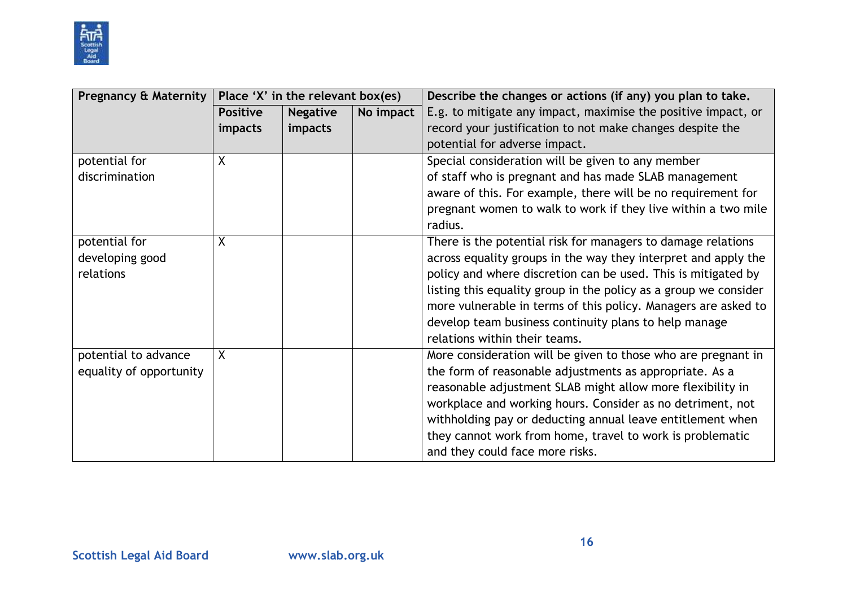

| <b>Pregnancy &amp; Maternity</b> | Place 'X' in the relevant box(es) |                 |           | Describe the changes or actions (if any) you plan to take.       |  |
|----------------------------------|-----------------------------------|-----------------|-----------|------------------------------------------------------------------|--|
|                                  | <b>Positive</b>                   | <b>Negative</b> | No impact | E.g. to mitigate any impact, maximise the positive impact, or    |  |
|                                  | impacts                           | impacts         |           | record your justification to not make changes despite the        |  |
|                                  |                                   |                 |           | potential for adverse impact.                                    |  |
| potential for                    | X                                 |                 |           | Special consideration will be given to any member                |  |
| discrimination                   |                                   |                 |           | of staff who is pregnant and has made SLAB management            |  |
|                                  |                                   |                 |           | aware of this. For example, there will be no requirement for     |  |
|                                  |                                   |                 |           | pregnant women to walk to work if they live within a two mile    |  |
|                                  |                                   |                 |           | radius.                                                          |  |
| potential for                    | X                                 |                 |           | There is the potential risk for managers to damage relations     |  |
| developing good                  |                                   |                 |           | across equality groups in the way they interpret and apply the   |  |
| relations                        |                                   |                 |           | policy and where discretion can be used. This is mitigated by    |  |
|                                  |                                   |                 |           | listing this equality group in the policy as a group we consider |  |
|                                  |                                   |                 |           | more vulnerable in terms of this policy. Managers are asked to   |  |
|                                  |                                   |                 |           | develop team business continuity plans to help manage            |  |
|                                  |                                   |                 |           | relations within their teams.                                    |  |
| potential to advance             | X                                 |                 |           | More consideration will be given to those who are pregnant in    |  |
| equality of opportunity          |                                   |                 |           | the form of reasonable adjustments as appropriate. As a          |  |
|                                  |                                   |                 |           | reasonable adjustment SLAB might allow more flexibility in       |  |
|                                  |                                   |                 |           | workplace and working hours. Consider as no detriment, not       |  |
|                                  |                                   |                 |           | withholding pay or deducting annual leave entitlement when       |  |
|                                  |                                   |                 |           | they cannot work from home, travel to work is problematic        |  |
|                                  |                                   |                 |           | and they could face more risks.                                  |  |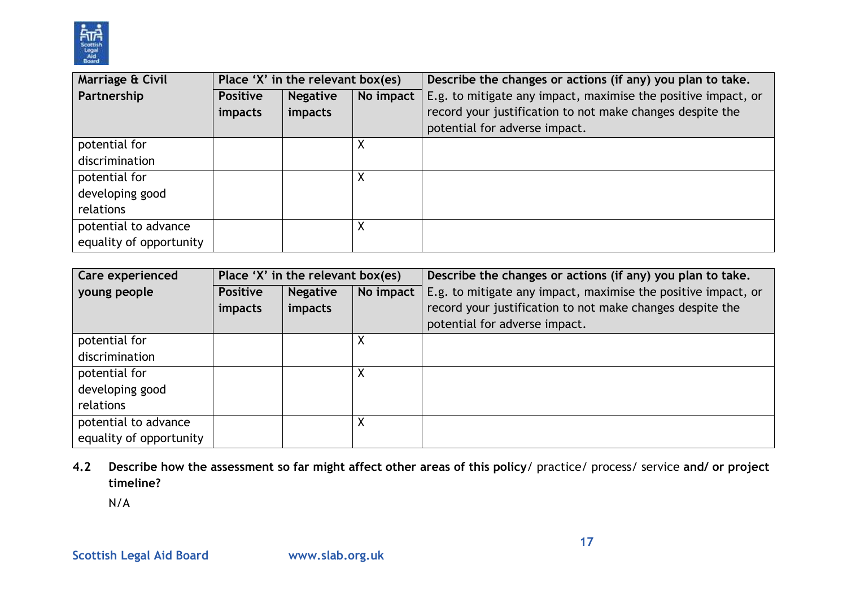

| Marriage & Civil        | Place 'X' in the relevant box(es)               |         |   | Describe the changes or actions (if any) you plan to take.    |  |
|-------------------------|-------------------------------------------------|---------|---|---------------------------------------------------------------|--|
| Partnership             | No impact<br><b>Positive</b><br><b>Negative</b> |         |   | E.g. to mitigate any impact, maximise the positive impact, or |  |
|                         | impacts                                         | impacts |   | record your justification to not make changes despite the     |  |
|                         |                                                 |         |   | potential for adverse impact.                                 |  |
| potential for           |                                                 |         | Χ |                                                               |  |
| discrimination          |                                                 |         |   |                                                               |  |
| potential for           |                                                 |         | Χ |                                                               |  |
| developing good         |                                                 |         |   |                                                               |  |
| relations               |                                                 |         |   |                                                               |  |
| potential to advance    |                                                 |         |   |                                                               |  |
| equality of opportunity |                                                 |         |   |                                                               |  |

| Care experienced        | Place 'X' in the relevant box(es) |                 |           | Describe the changes or actions (if any) you plan to take.    |
|-------------------------|-----------------------------------|-----------------|-----------|---------------------------------------------------------------|
| young people            | <b>Positive</b>                   | <b>Negative</b> | No impact | E.g. to mitigate any impact, maximise the positive impact, or |
|                         | <i>impacts</i>                    | impacts         |           | record your justification to not make changes despite the     |
|                         |                                   |                 |           | potential for adverse impact.                                 |
| potential for           |                                   |                 | ∧         |                                                               |
| discrimination          |                                   |                 |           |                                                               |
| potential for           |                                   |                 |           |                                                               |
| developing good         |                                   |                 |           |                                                               |
| relations               |                                   |                 |           |                                                               |
| potential to advance    |                                   |                 |           |                                                               |
| equality of opportunity |                                   |                 |           |                                                               |

**4.2 Describe how the assessment so far might affect other areas of this policy**/ practice/ process/ service **and/ or project timeline?** 

N/A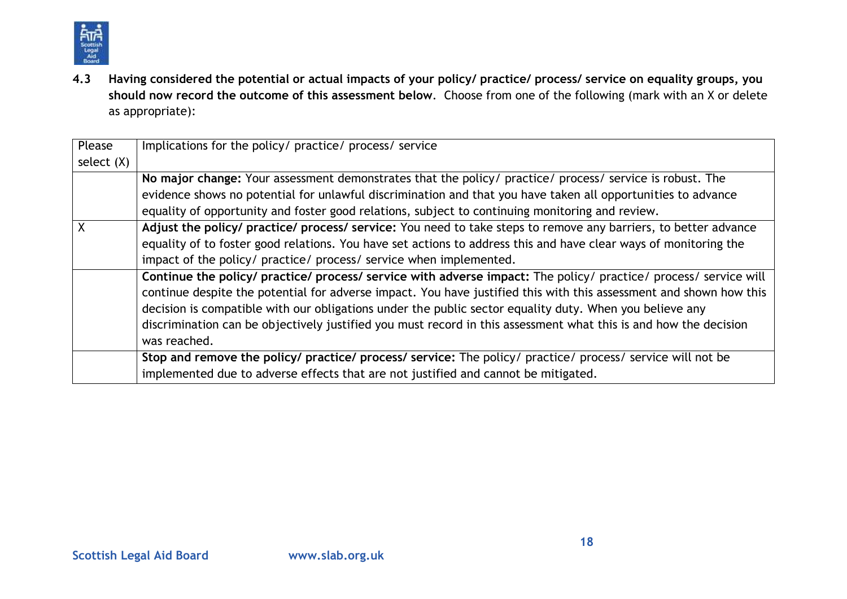

**4.3 Having considered the potential or actual impacts of your policy/ practice/ process/ service on equality groups, you should now record the outcome of this assessment below**. Choose from one of the following (mark with an X or delete as appropriate):

| Please       | Implications for the policy/ practice/ process/ service                                                            |
|--------------|--------------------------------------------------------------------------------------------------------------------|
| select $(X)$ |                                                                                                                    |
|              | No major change: Your assessment demonstrates that the policy/ practice/ process/ service is robust. The           |
|              | evidence shows no potential for unlawful discrimination and that you have taken all opportunities to advance       |
|              | equality of opportunity and foster good relations, subject to continuing monitoring and review.                    |
|              | Adjust the policy/ practice/ process/ service: You need to take steps to remove any barriers, to better advance    |
|              | equality of to foster good relations. You have set actions to address this and have clear ways of monitoring the   |
|              | impact of the policy/ practice/ process/ service when implemented.                                                 |
|              | Continue the policy/ practice/ process/ service with adverse impact: The policy/ practice/ process/ service will   |
|              | continue despite the potential for adverse impact. You have justified this with this assessment and shown how this |
|              | decision is compatible with our obligations under the public sector equality duty. When you believe any            |
|              | discrimination can be objectively justified you must record in this assessment what this is and how the decision   |
|              | was reached.                                                                                                       |
|              | Stop and remove the policy/ practice/ process/ service: The policy/ practice/ process/ service will not be         |
|              | implemented due to adverse effects that are not justified and cannot be mitigated.                                 |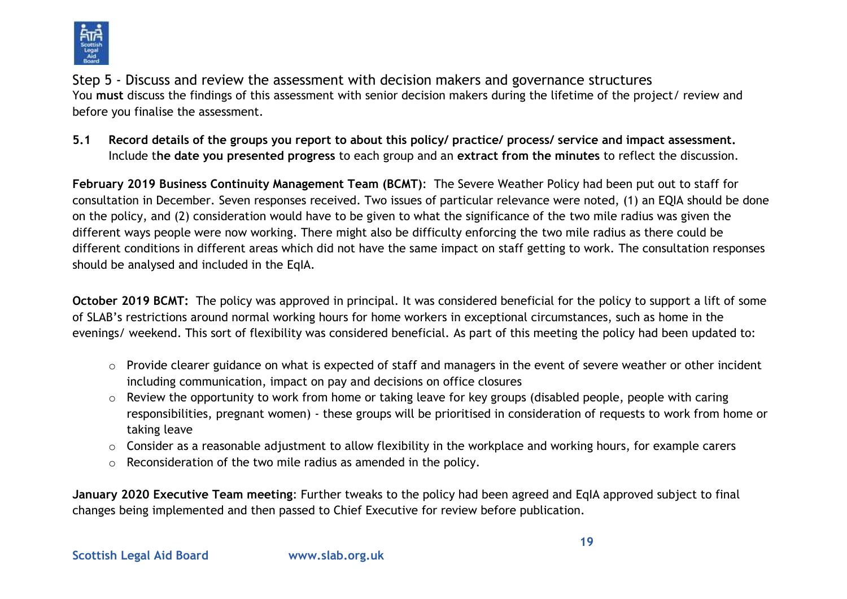

Step 5 - Discuss and review the assessment with decision makers and governance structures You **must** discuss the findings of this assessment with senior decision makers during the lifetime of the project/ review and before you finalise the assessment.

**5.1 Record details of the groups you report to about this policy/ practice/ process/ service and impact assessment.**  Include t**he date you presented progress** to each group and an **extract from the minutes** to reflect the discussion.

**February 2019 Business Continuity Management Team (BCMT)**: The Severe Weather Policy had been put out to staff for consultation in December. Seven responses received. Two issues of particular relevance were noted, (1) an EQIA should be done on the policy, and (2) consideration would have to be given to what the significance of the two mile radius was given the different ways people were now working. There might also be difficulty enforcing the two mile radius as there could be different conditions in different areas which did not have the same impact on staff getting to work. The consultation responses should be analysed and included in the EqIA.

**October 2019 BCMT:** The policy was approved in principal. It was considered beneficial for the policy to support a lift of some of SLAB's restrictions around normal working hours for home workers in exceptional circumstances, such as home in the evenings/ weekend. This sort of flexibility was considered beneficial. As part of this meeting the policy had been updated to:

- o Provide clearer guidance on what is expected of staff and managers in the event of severe weather or other incident including communication, impact on pay and decisions on office closures
- o Review the opportunity to work from home or taking leave for key groups (disabled people, people with caring responsibilities, pregnant women) - these groups will be prioritised in consideration of requests to work from home or taking leave
- o Consider as a reasonable adjustment to allow flexibility in the workplace and working hours, for example carers
- o Reconsideration of the two mile radius as amended in the policy.

**January 2020 Executive Team meeting**: Further tweaks to the policy had been agreed and EqIA approved subject to final changes being implemented and then passed to Chief Executive for review before publication.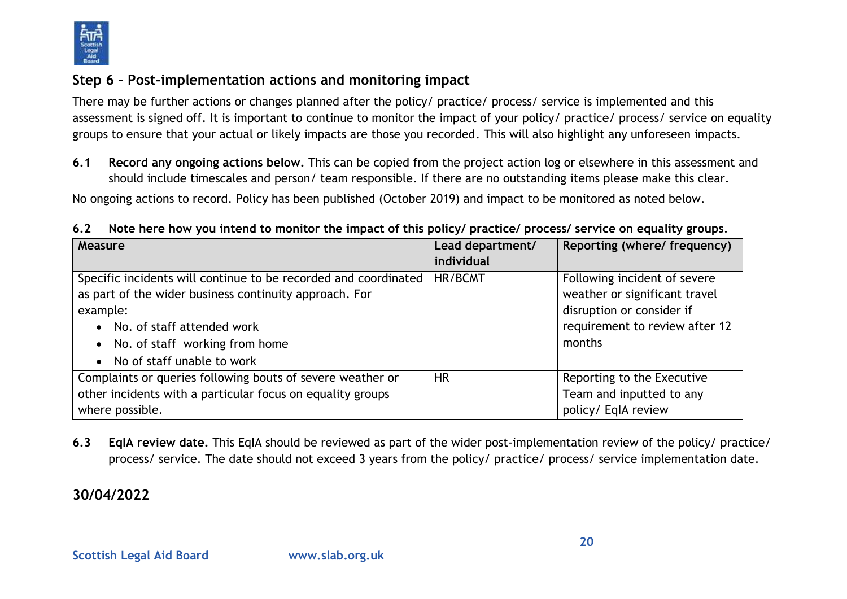

### **Step 6 – Post-implementation actions and monitoring impact**

There may be further actions or changes planned after the policy/ practice/ process/ service is implemented and this assessment is signed off. It is important to continue to monitor the impact of your policy/ practice/ process/ service on equality groups to ensure that your actual or likely impacts are those you recorded. This will also highlight any unforeseen impacts.

**6.1 Record any ongoing actions below.** This can be copied from the project action log or elsewhere in this assessment and should include timescales and person/ team responsible. If there are no outstanding items please make this clear.

No ongoing actions to record. Policy has been published (October 2019) and impact to be monitored as noted below.

**6.2 Note here how you intend to monitor the impact of this policy/ practice/ process/ service on equality groups**.

| Measure                                                         | Lead department/ | Reporting (where/ frequency)   |
|-----------------------------------------------------------------|------------------|--------------------------------|
|                                                                 | individual       |                                |
| Specific incidents will continue to be recorded and coordinated | HR/BCMT          | Following incident of severe   |
| as part of the wider business continuity approach. For          |                  | weather or significant travel  |
| example:                                                        |                  | disruption or consider if      |
| No. of staff attended work                                      |                  | requirement to review after 12 |
| No. of staff working from home                                  |                  | months                         |
| No of staff unable to work                                      |                  |                                |
| Complaints or queries following bouts of severe weather or      | <b>HR</b>        | Reporting to the Executive     |
| other incidents with a particular focus on equality groups      |                  | Team and inputted to any       |
| where possible.                                                 |                  | policy/ EqIA review            |

**6.3 EqIA review date.** This EqIA should be reviewed as part of the wider post-implementation review of the policy/ practice/ process/ service. The date should not exceed 3 years from the policy/ practice/ process/ service implementation date.

## **30/04/2022**